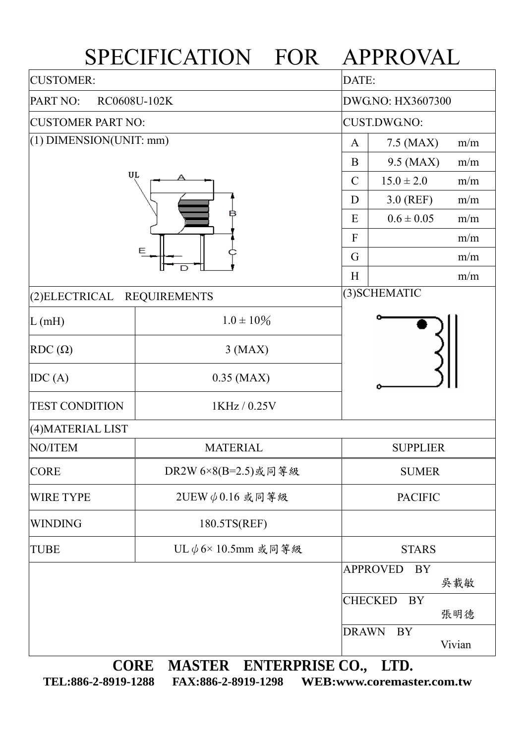|                                      | SPECIFICATION FOR                                                               |                     | APPROVAL        |        |  |
|--------------------------------------|---------------------------------------------------------------------------------|---------------------|-----------------|--------|--|
| <b>CUSTOMER:</b>                     |                                                                                 |                     | DATE:           |        |  |
| PART NO:<br>RC0608U-102K             |                                                                                 | DWG.NO: HX3607300   |                 |        |  |
| <b>CUSTOMER PART NO:</b>             |                                                                                 | <b>CUST.DWG.NO:</b> |                 |        |  |
| (1) DIMENSION(UNIT: mm)<br>UL<br>Ε   |                                                                                 | A                   | 7.5 (MAX)       | m/m    |  |
|                                      |                                                                                 | B                   | 9.5 (MAX)       | m/m    |  |
|                                      |                                                                                 | $\mathcal{C}$       | $15.0 \pm 2.0$  | m/m    |  |
|                                      |                                                                                 | D                   | $3.0$ (REF)     | m/m    |  |
|                                      |                                                                                 | E                   | $0.6 \pm 0.05$  | m/m    |  |
|                                      |                                                                                 | $\mathbf{F}$        |                 | m/m    |  |
|                                      |                                                                                 | G                   |                 | m/m    |  |
|                                      |                                                                                 | H                   |                 | m/m    |  |
| (2)ELECTRICAL<br><b>REQUIREMENTS</b> |                                                                                 |                     | (3) SCHEMATIC   |        |  |
| L(mH)                                | $1.0 \pm 10\%$                                                                  |                     |                 |        |  |
| $RDC(\Omega)$                        | $3$ (MAX)                                                                       |                     |                 |        |  |
| IDC(A)                               | $0.35$ (MAX)                                                                    |                     |                 |        |  |
| <b>TEST CONDITION</b>                | 1KHz / 0.25V                                                                    |                     |                 |        |  |
| (4) MATERIAL LIST                    |                                                                                 |                     |                 |        |  |
| NO/ITEM                              | <b>MATERIAL</b>                                                                 |                     | <b>SUPPLIER</b> |        |  |
| <b>CORE</b>                          | DR2W 6×8(B=2.5)或同等級                                                             |                     | <b>SUMER</b>    |        |  |
| <b>WIRE TYPE</b>                     | 2UEW $\phi$ 0.16 或同等級                                                           |                     | <b>PACIFIC</b>  |        |  |
| <b>WINDING</b>                       | 180.5TS(REF)                                                                    |                     |                 |        |  |
| TUBE                                 | UL $\phi$ 6×10.5mm 或同等級                                                         |                     | <b>STARS</b>    |        |  |
|                                      |                                                                                 | <b>APPROVED</b>     | BY              | 吳載敏    |  |
|                                      |                                                                                 | <b>CHECKED</b>      | <b>BY</b>       | 張明德    |  |
|                                      |                                                                                 | <b>DRAWN</b>        | <b>BY</b>       | Vivian |  |
|                                      | $MA$ and $N$ and $N$ and $N$<br>$\boldsymbol{\Lambda}$ dd $\boldsymbol{\Gamma}$ |                     | <b>TTD</b>      |        |  |

**CORE MASTER ENTERPRISE CO., LTD.** 

**TEL:886-2-8919-1288 FAX:886-2-8919-1298 WEB:www.coremaster.com.tw**